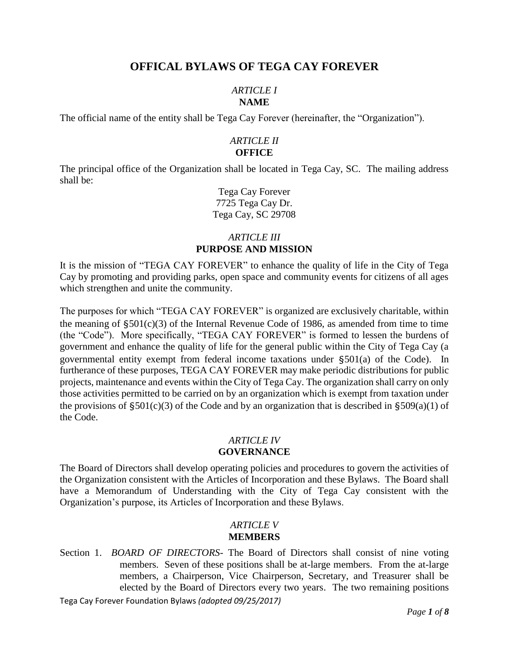# **OFFICAL BYLAWS OF TEGA CAY FOREVER**

### *ARTICLE I* **NAME**

The official name of the entity shall be Tega Cay Forever (hereinafter, the "Organization").

## *ARTICLE II* **OFFICE**

The principal office of the Organization shall be located in Tega Cay, SC. The mailing address shall be:

> Tega Cay Forever 7725 Tega Cay Dr. Tega Cay, SC 29708

# *ARTICLE III* **PURPOSE AND MISSION**

It is the mission of "TEGA CAY FOREVER" to enhance the quality of life in the City of Tega Cay by promoting and providing parks, open space and community events for citizens of all ages which strengthen and unite the community.

The purposes for which "TEGA CAY FOREVER" is organized are exclusively charitable, within the meaning of  $\S501(c)(3)$  of the Internal Revenue Code of 1986, as amended from time to time (the "Code"). More specifically, "TEGA CAY FOREVER" is formed to lessen the burdens of government and enhance the quality of life for the general public within the City of Tega Cay (a governmental entity exempt from federal income taxations under §501(a) of the Code). In furtherance of these purposes, TEGA CAY FOREVER may make periodic distributions for public projects, maintenance and events within the City of Tega Cay. The organization shall carry on only those activities permitted to be carried on by an organization which is exempt from taxation under the provisions of  $\S501(c)(3)$  of the Code and by an organization that is described in  $\S509(a)(1)$  of the Code.

### *ARTICLE IV* **GOVERNANCE**

The Board of Directors shall develop operating policies and procedures to govern the activities of the Organization consistent with the Articles of Incorporation and these Bylaws. The Board shall have a Memorandum of Understanding with the City of Tega Cay consistent with the Organization's purpose, its Articles of Incorporation and these Bylaws.

## *ARTICLE V* **MEMBERS**

Section 1. *BOARD OF DIRECTORS-* The Board of Directors shall consist of nine voting members. Seven of these positions shall be at-large members. From the at-large members, a Chairperson, Vice Chairperson, Secretary, and Treasurer shall be elected by the Board of Directors every two years. The two remaining positions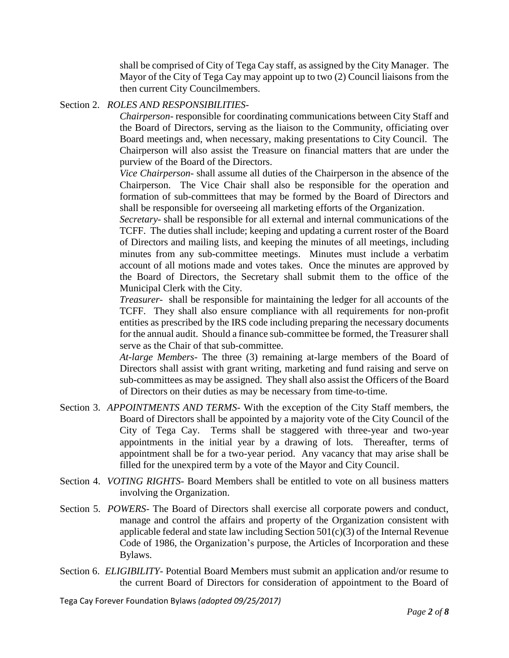shall be comprised of City of Tega Cay staff, as assigned by the City Manager. The Mayor of the City of Tega Cay may appoint up to two (2) Council liaisons from the then current City Councilmembers.

## Section 2. *ROLES AND RESPONSIBILITIES-*

*Chairperson*- responsible for coordinating communications between City Staff and the Board of Directors, serving as the liaison to the Community, officiating over Board meetings and, when necessary, making presentations to City Council. The Chairperson will also assist the Treasure on financial matters that are under the purview of the Board of the Directors.

*Vice Chairperson*- shall assume all duties of the Chairperson in the absence of the Chairperson. The Vice Chair shall also be responsible for the operation and formation of sub-committees that may be formed by the Board of Directors and shall be responsible for overseeing all marketing efforts of the Organization.

*Secretary*- shall be responsible for all external and internal communications of the TCFF. The duties shall include; keeping and updating a current roster of the Board of Directors and mailing lists, and keeping the minutes of all meetings, including minutes from any sub-committee meetings. Minutes must include a verbatim account of all motions made and votes takes. Once the minutes are approved by the Board of Directors, the Secretary shall submit them to the office of the Municipal Clerk with the City.

*Treasurer*- shall be responsible for maintaining the ledger for all accounts of the TCFF. They shall also ensure compliance with all requirements for non-profit entities as prescribed by the IRS code including preparing the necessary documents for the annual audit. Should a finance sub-committee be formed, the Treasurer shall serve as the Chair of that sub-committee.

*At*-*large Members*- The three (3) remaining at-large members of the Board of Directors shall assist with grant writing, marketing and fund raising and serve on sub-committees as may be assigned. They shall also assist the Officers of the Board of Directors on their duties as may be necessary from time-to-time.

- Section 3. *APPOINTMENTS AND TERMS-* With the exception of the City Staff members, the Board of Directors shall be appointed by a majority vote of the City Council of the City of Tega Cay. Terms shall be staggered with three-year and two-year appointments in the initial year by a drawing of lots. Thereafter, terms of appointment shall be for a two-year period. Any vacancy that may arise shall be filled for the unexpired term by a vote of the Mayor and City Council.
- Section 4. *VOTING RIGHTS-* Board Members shall be entitled to vote on all business matters involving the Organization.
- Section 5. *POWERS-* The Board of Directors shall exercise all corporate powers and conduct, manage and control the affairs and property of the Organization consistent with applicable federal and state law including Section  $501(c)(3)$  of the Internal Revenue Code of 1986, the Organization's purpose, the Articles of Incorporation and these Bylaws.
- Section 6. *ELIGIBILITY-* Potential Board Members must submit an application and/or resume to the current Board of Directors for consideration of appointment to the Board of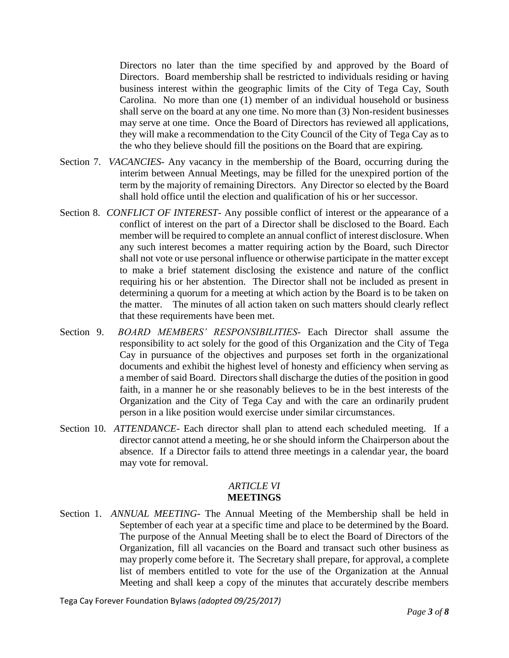Directors no later than the time specified by and approved by the Board of Directors. Board membership shall be restricted to individuals residing or having business interest within the geographic limits of the City of Tega Cay, South Carolina. No more than one (1) member of an individual household or business shall serve on the board at any one time. No more than (3) Non-resident businesses may serve at one time. Once the Board of Directors has reviewed all applications, they will make a recommendation to the City Council of the City of Tega Cay as to the who they believe should fill the positions on the Board that are expiring.

- Section 7. *VACANCIES-* Any vacancy in the membership of the Board, occurring during the interim between Annual Meetings, may be filled for the unexpired portion of the term by the majority of remaining Directors. Any Director so elected by the Board shall hold office until the election and qualification of his or her successor.
- Section 8. *CONFLICT OF INTEREST-* Any possible conflict of interest or the appearance of a conflict of interest on the part of a Director shall be disclosed to the Board. Each member will be required to complete an annual conflict of interest disclosure. When any such interest becomes a matter requiring action by the Board, such Director shall not vote or use personal influence or otherwise participate in the matter except to make a brief statement disclosing the existence and nature of the conflict requiring his or her abstention. The Director shall not be included as present in determining a quorum for a meeting at which action by the Board is to be taken on the matter. The minutes of all action taken on such matters should clearly reflect that these requirements have been met.
- Section 9. *BOARD MEMBERS' RESPONSIBILITIES-* Each Director shall assume the responsibility to act solely for the good of this Organization and the City of Tega Cay in pursuance of the objectives and purposes set forth in the organizational documents and exhibit the highest level of honesty and efficiency when serving as a member of said Board. Directors shall discharge the duties of the position in good faith, in a manner he or she reasonably believes to be in the best interests of the Organization and the City of Tega Cay and with the care an ordinarily prudent person in a like position would exercise under similar circumstances.
- Section 10. *ATTENDANCE-* Each director shall plan to attend each scheduled meeting. If a director cannot attend a meeting, he or she should inform the Chairperson about the absence. If a Director fails to attend three meetings in a calendar year, the board may vote for removal.

### *ARTICLE VI* **MEETINGS**

Section 1. *ANNUAL MEETING-* The Annual Meeting of the Membership shall be held in September of each year at a specific time and place to be determined by the Board. The purpose of the Annual Meeting shall be to elect the Board of Directors of the Organization, fill all vacancies on the Board and transact such other business as may properly come before it. The Secretary shall prepare, for approval, a complete list of members entitled to vote for the use of the Organization at the Annual Meeting and shall keep a copy of the minutes that accurately describe members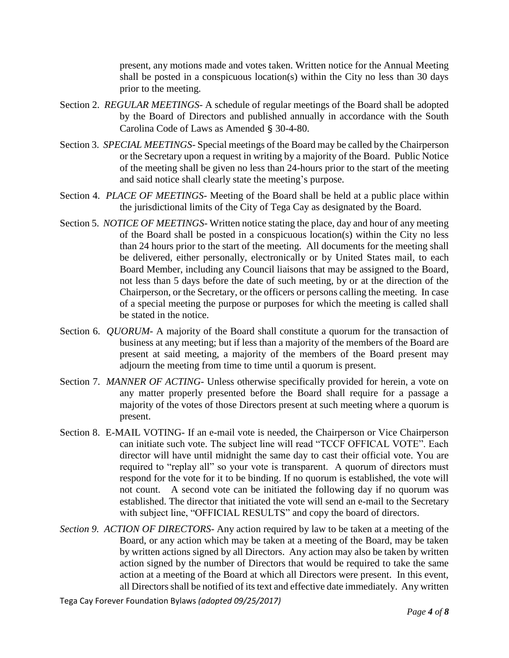present, any motions made and votes taken. Written notice for the Annual Meeting shall be posted in a conspicuous location(s) within the City no less than 30 days prior to the meeting.

- Section 2. *REGULAR MEETINGS-* A schedule of regular meetings of the Board shall be adopted by the Board of Directors and published annually in accordance with the South Carolina Code of Laws as Amended § 30-4-80.
- Section 3. *SPECIAL MEETINGS* Special meetings of the Board may be called by the Chairperson or the Secretary upon a request in writing by a majority of the Board. Public Notice of the meeting shall be given no less than 24-hours prior to the start of the meeting and said notice shall clearly state the meeting's purpose.
- Section 4. *PLACE OF MEETINGS-* Meeting of the Board shall be held at a public place within the jurisdictional limits of the City of Tega Cay as designated by the Board.
- Section 5. *NOTICE OF MEETINGS-* Written notice stating the place, day and hour of any meeting of the Board shall be posted in a conspicuous location(s) within the City no less than 24 hours prior to the start of the meeting. All documents for the meeting shall be delivered, either personally, electronically or by United States mail, to each Board Member, including any Council liaisons that may be assigned to the Board, not less than 5 days before the date of such meeting, by or at the direction of the Chairperson, or the Secretary, or the officers or persons calling the meeting. In case of a special meeting the purpose or purposes for which the meeting is called shall be stated in the notice.
- Section 6. *QUORUM* A majority of the Board shall constitute a quorum for the transaction of business at any meeting; but if less than a majority of the members of the Board are present at said meeting, a majority of the members of the Board present may adjourn the meeting from time to time until a quorum is present.
- Section 7. *MANNER OF ACTING-* Unless otherwise specifically provided for herein, a vote on any matter properly presented before the Board shall require for a passage a majority of the votes of those Directors present at such meeting where a quorum is present.
- Section 8. E-MAIL VOTING- If an e-mail vote is needed, the Chairperson or Vice Chairperson can initiate such vote. The subject line will read "TCCF OFFICAL VOTE". Each director will have until midnight the same day to cast their official vote. You are required to "replay all" so your vote is transparent. A quorum of directors must respond for the vote for it to be binding. If no quorum is established, the vote will not count. A second vote can be initiated the following day if no quorum was established. The director that initiated the vote will send an e-mail to the Secretary with subject line, "OFFICIAL RESULTS" and copy the board of directors.
- *Section 9. ACTION OF DIRECTORS-* Any action required by law to be taken at a meeting of the Board, or any action which may be taken at a meeting of the Board, may be taken by written actions signed by all Directors. Any action may also be taken by written action signed by the number of Directors that would be required to take the same action at a meeting of the Board at which all Directors were present. In this event, all Directors shall be notified of its text and effective date immediately. Any written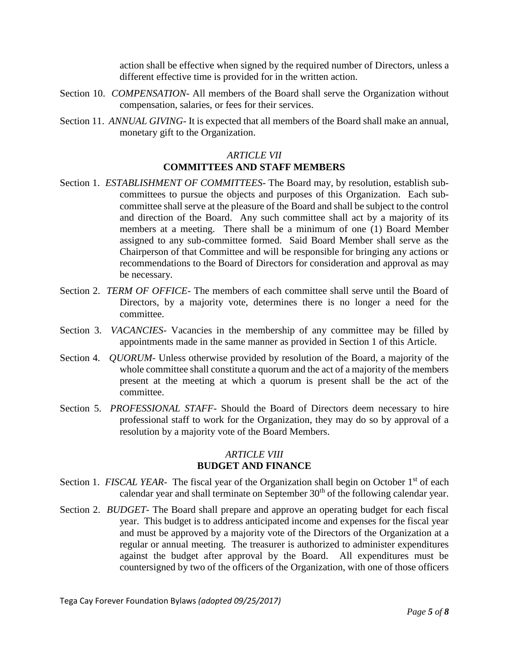action shall be effective when signed by the required number of Directors, unless a different effective time is provided for in the written action.

- Section 10. *COMPENSATION-* All members of the Board shall serve the Organization without compensation, salaries, or fees for their services.
- Section 11. *ANNUAL GIVING-* It is expected that all members of the Board shall make an annual, monetary gift to the Organization.

## *ARTICLE VII* **COMMITTEES AND STAFF MEMBERS**

- Section 1. *ESTABLISHMENT OF COMMITTEES-* The Board may, by resolution, establish subcommittees to pursue the objects and purposes of this Organization. Each subcommittee shall serve at the pleasure of the Board and shall be subject to the control and direction of the Board. Any such committee shall act by a majority of its members at a meeting. There shall be a minimum of one (1) Board Member assigned to any sub-committee formed. Said Board Member shall serve as the Chairperson of that Committee and will be responsible for bringing any actions or recommendations to the Board of Directors for consideration and approval as may be necessary.
- Section 2. *TERM OF OFFICE-* The members of each committee shall serve until the Board of Directors, by a majority vote, determines there is no longer a need for the committee.
- Section 3. *VACANCIES-* Vacancies in the membership of any committee may be filled by appointments made in the same manner as provided in Section 1 of this Article.
- Section 4. *QUORUM-* Unless otherwise provided by resolution of the Board, a majority of the whole committee shall constitute a quorum and the act of a majority of the members present at the meeting at which a quorum is present shall be the act of the committee.
- Section 5. *PROFESSIONAL STAFF-* Should the Board of Directors deem necessary to hire professional staff to work for the Organization, they may do so by approval of a resolution by a majority vote of the Board Members.

## *ARTICLE VIII* **BUDGET AND FINANCE**

- Section 1. *FISCAL YEAR* The fiscal year of the Organization shall begin on October 1<sup>st</sup> of each calendar year and shall terminate on September 30<sup>th</sup> of the following calendar year.
- Section 2. *BUDGET-* The Board shall prepare and approve an operating budget for each fiscal year. This budget is to address anticipated income and expenses for the fiscal year and must be approved by a majority vote of the Directors of the Organization at a regular or annual meeting. The treasurer is authorized to administer expenditures against the budget after approval by the Board. All expenditures must be countersigned by two of the officers of the Organization, with one of those officers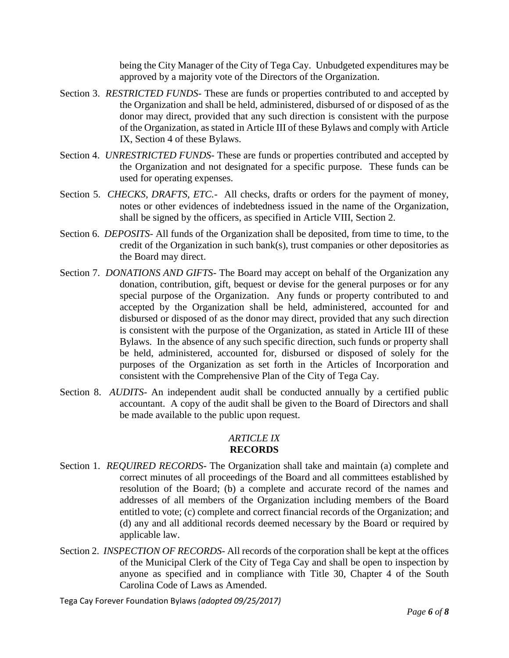being the City Manager of the City of Tega Cay. Unbudgeted expenditures may be approved by a majority vote of the Directors of the Organization.

- Section 3. *RESTRICTED FUNDS-* These are funds or properties contributed to and accepted by the Organization and shall be held, administered, disbursed of or disposed of as the donor may direct, provided that any such direction is consistent with the purpose of the Organization, as stated in Article III of these Bylaws and comply with Article IX, Section 4 of these Bylaws.
- Section 4. *UNRESTRICTED FUNDS-* These are funds or properties contributed and accepted by the Organization and not designated for a specific purpose. These funds can be used for operating expenses.
- Section 5. *CHECKS, DRAFTS, ETC.* All checks, drafts or orders for the payment of money, notes or other evidences of indebtedness issued in the name of the Organization, shall be signed by the officers, as specified in Article VIII, Section 2.
- Section 6. *DEPOSITS-* All funds of the Organization shall be deposited, from time to time, to the credit of the Organization in such bank(s), trust companies or other depositories as the Board may direct.
- Section 7. *DONATIONS AND GIFTS-* The Board may accept on behalf of the Organization any donation, contribution, gift, bequest or devise for the general purposes or for any special purpose of the Organization. Any funds or property contributed to and accepted by the Organization shall be held, administered, accounted for and disbursed or disposed of as the donor may direct, provided that any such direction is consistent with the purpose of the Organization, as stated in Article III of these Bylaws. In the absence of any such specific direction, such funds or property shall be held, administered, accounted for, disbursed or disposed of solely for the purposes of the Organization as set forth in the Articles of Incorporation and consistent with the Comprehensive Plan of the City of Tega Cay.
- Section 8. *AUDITS* An independent audit shall be conducted annually by a certified public accountant. A copy of the audit shall be given to the Board of Directors and shall be made available to the public upon request.

#### *ARTICLE IX* **RECORDS**

- Section 1. *REQUIRED RECORDS-* The Organization shall take and maintain (a) complete and correct minutes of all proceedings of the Board and all committees established by resolution of the Board; (b) a complete and accurate record of the names and addresses of all members of the Organization including members of the Board entitled to vote; (c) complete and correct financial records of the Organization; and (d) any and all additional records deemed necessary by the Board or required by applicable law.
- Section 2. *INSPECTION OF RECORDS-* All records of the corporation shall be kept at the offices of the Municipal Clerk of the City of Tega Cay and shall be open to inspection by anyone as specified and in compliance with Title 30, Chapter 4 of the South Carolina Code of Laws as Amended.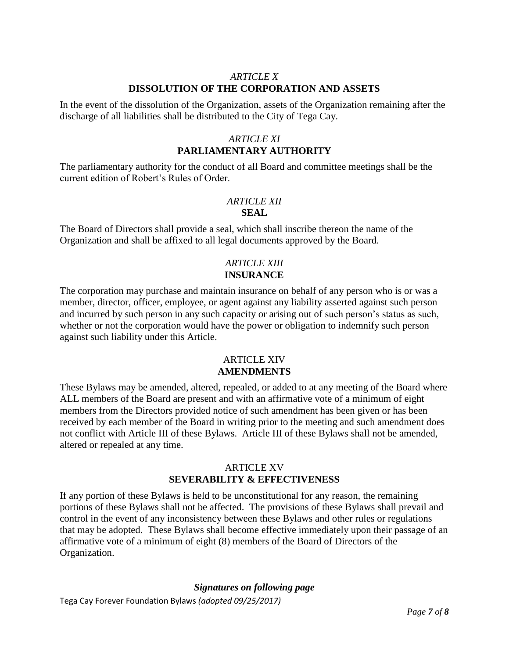### *ARTICLE X* **DISSOLUTION OF THE CORPORATION AND ASSETS**

In the event of the dissolution of the Organization, assets of the Organization remaining after the discharge of all liabilities shall be distributed to the City of Tega Cay.

# *ARTICLE XI* **PARLIAMENTARY AUTHORITY**

The parliamentary authority for the conduct of all Board and committee meetings shall be the current edition of Robert's Rules of Order.

## *ARTICLE XII* **SEAL**

The Board of Directors shall provide a seal, which shall inscribe thereon the name of the Organization and shall be affixed to all legal documents approved by the Board.

# *ARTICLE XIII* **INSURANCE**

The corporation may purchase and maintain insurance on behalf of any person who is or was a member, director, officer, employee, or agent against any liability asserted against such person and incurred by such person in any such capacity or arising out of such person's status as such, whether or not the corporation would have the power or obligation to indemnify such person against such liability under this Article.

## ARTICLE XIV **AMENDMENTS**

These Bylaws may be amended, altered, repealed, or added to at any meeting of the Board where ALL members of the Board are present and with an affirmative vote of a minimum of eight members from the Directors provided notice of such amendment has been given or has been received by each member of the Board in writing prior to the meeting and such amendment does not conflict with Article III of these Bylaws. Article III of these Bylaws shall not be amended, altered or repealed at any time.

## ARTICLE XV **SEVERABILITY & EFFECTIVENESS**

If any portion of these Bylaws is held to be unconstitutional for any reason, the remaining portions of these Bylaws shall not be affected. The provisions of these Bylaws shall prevail and control in the event of any inconsistency between these Bylaws and other rules or regulations that may be adopted. These Bylaws shall become effective immediately upon their passage of an affirmative vote of a minimum of eight (8) members of the Board of Directors of the Organization.

## *Signatures on following page*